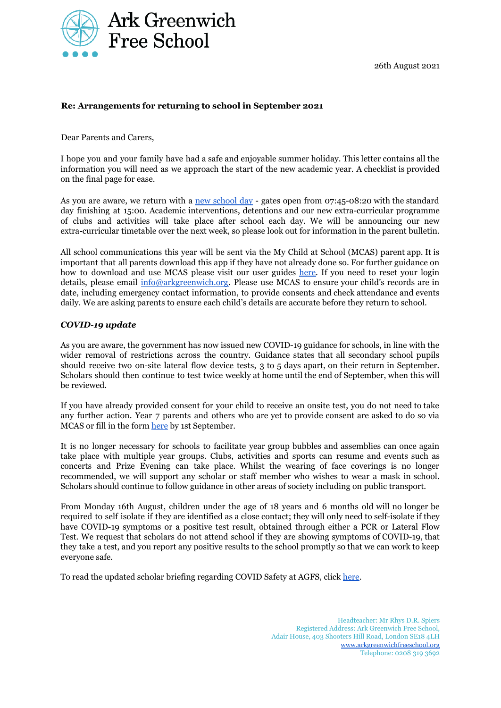

26th August 2021

#### **Re: Arrangements for returning to school in September 2021**

Dear Parents and Carers,

I hope you and your family have had a safe and enjoyable summer holiday. This letter contains all the information you will need as we approach the start of the new academic year. A checklist is provided on the final page for ease.

As you are aware, we return with a new [school](https://arkgreenwichfreeschool.org/life-school/school-day) day - gates open from 07:45-08:20 with the standard day finishing at 15:00. Academic interventions, detentions and our new extra-curricular programme of clubs and activities will take place after school each day. We will be announcing our new extra-curricular timetable over the next week, so please look out for information in the parent bulletin.

All school communications this year will be sent via the My Child at School (MCAS) parent app. It is important that all parents download this app if they have not already done so. For further guidance on how to download and use MCAS please visit our user guides [here.](https://arkgreenwichfreeschool.org/page-strips/how-guides) If you need to reset your login details, please email [info@arkgreenwich.org.](mailto:info@arkgreenwich.org) Please use MCAS to ensure your child's records are in date, including emergency contact information, to provide consents and check attendance and events daily. We are asking parents to ensure each child's details are accurate before they return to school.

#### *COVID-19 update*

As you are aware, the government has now issued new COVID-19 guidance for schools, in line with the wider removal of restrictions across the country. Guidance states that all secondary school pupils should receive two on-site lateral flow device tests, 3 to 5 days apart, on their return in September. Scholars should then continue to test twice weekly at home until the end of September, when this will be reviewed.

If you have already provided consent for your child to receive an onsite test, you do not need to take any further action. Year 7 parents and others who are yet to provide consent are asked to do so via MCAS or fill in the form [here](https://forms.gle/2rVfqW5E2nKMxEsw6) by 1st September.

It is no longer necessary for schools to facilitate year group bubbles and assemblies can once again take place with multiple year groups. Clubs, activities and sports can resume and events such as concerts and Prize Evening can take place. Whilst the wearing of face coverings is no longer recommended, we will support any scholar or staff member who wishes to wear a mask in school. Scholars should continue to follow guidance in other areas of society including on public transport.

From Monday 16th August, children under the age of 18 years and 6 months old will no longer be required to self isolate if they are identified as a close contact; they will only need to self-isolate if they have COVID-19 symptoms or a positive test result, obtained through either a PCR or Lateral Flow Test. We request that scholars do not attend school if they are showing symptoms of COVID-19, that they take a test, and you report any positive results to the school promptly so that we can work to keep everyone safe.

To read the updated scholar briefing regarding COVID Safety at AGFS, click [here.](https://drive.google.com/file/d/1LXFMgO6XNs757IQXdsHa8Q7oTArEqpbI/view?usp=sharing)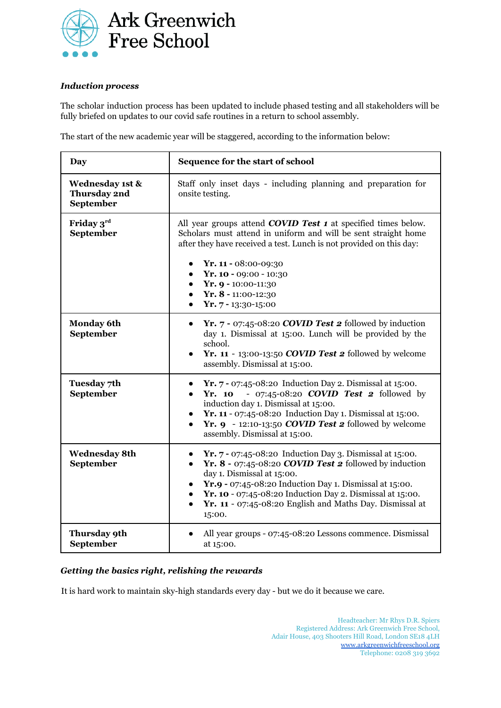

## *Induction process*

The scholar induction process has been updated to include phased testing and all stakeholders will be fully briefed on updates to our covid safe routines in a return to school assembly.

The start of the new academic year will be staggered, according to the information below:

| <b>Day</b>                                   | Sequence for the start of school                                                                                                                                                                                                                                                                                                                                                        |  |
|----------------------------------------------|-----------------------------------------------------------------------------------------------------------------------------------------------------------------------------------------------------------------------------------------------------------------------------------------------------------------------------------------------------------------------------------------|--|
| Wednesday 1st &<br>Thursday 2nd<br>September | Staff only inset days - including planning and preparation for<br>onsite testing.                                                                                                                                                                                                                                                                                                       |  |
| Friday 3rd<br>September                      | All year groups attend <b>COVID Test 1</b> at specified times below.<br>Scholars must attend in uniform and will be sent straight home<br>after they have received a test. Lunch is not provided on this day:<br>Yr. 11 - 08:00-09:30<br>$\bullet$<br>Yr. $10 - 09:00 - 10:30$<br>Yr. $9 - 10:00 - 11:30$<br>Yr. 8 - 11:00-12:30<br>$\bullet$<br>Yr. 7 - 13:30-15:00                    |  |
| <b>Monday 6th</b><br>September               | Yr. $7 - 07:45 - 08:20$ COVID Test 2 followed by induction<br>$\bullet$<br>day 1. Dismissal at 15:00. Lunch will be provided by the<br>school.<br>Yr. 11 - 13:00-13:50 COVID Test 2 followed by welcome<br>assembly. Dismissal at 15:00.                                                                                                                                                |  |
| Tuesday 7th<br>September                     | <b>Yr.</b> $7 - 07:45 - 08:20$ Induction Day 2. Dismissal at 15:00.<br>- 07:45-08:20 <i>COVID</i> Test 2 followed by<br>Yr. 10<br>$\bullet$<br>induction day 1. Dismissal at 15:00.<br><b>Yr. 11</b> - 07:45-08:20 Induction Day 1. Dismissal at 15:00.<br>Yr. $9 - 12:10 - 13:50$ COVID Test 2 followed by welcome<br>assembly. Dismissal at 15:00.                                    |  |
| <b>Wednesday 8th</b><br>September            | <b>Yr.</b> $7 - 07:45 - 08:20$ Induction Day 3. Dismissal at 15:00.<br>Yr. $8 - 07:45 - 08:20$ COVID Test 2 followed by induction<br>$\bullet$<br>day 1. Dismissal at 15:00.<br>Yr.9 - 07:45-08:20 Induction Day 1. Dismissal at 15:00.<br>$\bullet$<br>Yr. 10 - 07:45-08:20 Induction Day 2. Dismissal at 15:00.<br>Yr. 11 - 07:45-08:20 English and Maths Day. Dismissal at<br>15:00. |  |
| Thursday 9th<br>September                    | All year groups - 07:45-08:20 Lessons commence. Dismissal<br>at 15:00.                                                                                                                                                                                                                                                                                                                  |  |

#### *Getting the basics right, relishing the rewards*

It is hard work to maintain sky-high standards every day - but we do it because we care.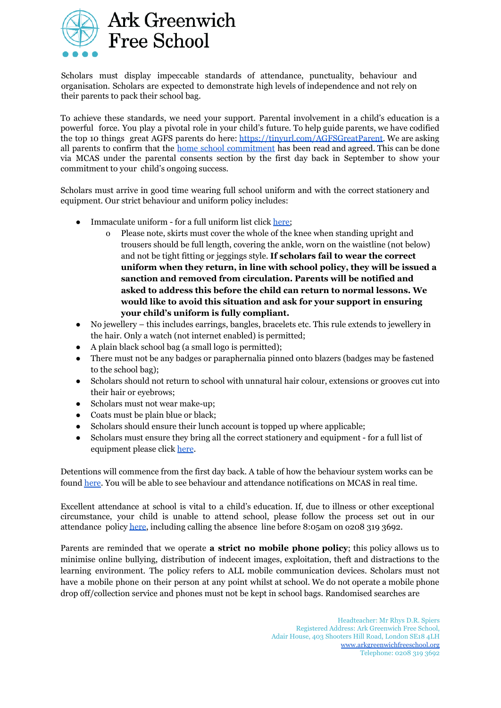

Scholars must display impeccable standards of attendance, punctuality, behaviour and organisation. Scholars are expected to demonstrate high levels of independence and not rely on their parents to pack their school bag.

To achieve these standards, we need your support. Parental involvement in a child's education is a powerful force. You play a pivotal role in your child's future. To help guide parents, we have codified the top 10 things great AGFS parents do here: https://tinyurl.com/AGFSGreatParent. We are asking all parents to confirm that the home school [commitment](https://arkgreenwichfreeschool.org/sites/default/files/Home%20School%20Commitment-2020.pdf) has been read and agreed. This can be done via MCAS under the parental consents section by the first day back in September to show your commitment to your child's ongoing success.

Scholars must arrive in good time wearing full school uniform and with the correct stationery and equipment. Our strict behaviour and uniform policy includes:

- Immaculate uniform for a full uniform list click [here;](https://arkgreenwichfreeschool.org/uniform)
	- o Please note, skirts must cover the whole of the knee when standing upright and trousers should be full length, covering the ankle, worn on the waistline (not below) and not be tight fitting or jeggings style. **If scholars fail to wear the correct uniform when they return, in line with school policy, they will be issued a sanction and removed from circulation. Parents will be notified and asked to address this before the child can return to normal lessons. We would like to avoid this situation and ask for your support in ensuring your child's uniform is fully compliant.**
- No jewellery this includes earrings, bangles, bracelets etc. This rule extends to jewellery in the hair. Only a watch (not internet enabled) is permitted;
- A plain black school bag (a small logo is permitted);
- There must not be any badges or paraphernalia pinned onto blazers (badges may be fastened to the school bag);
- Scholars should not return to school with unnatural hair colour, extensions or grooves cut into their hair or eyebrows;
- Scholars must not wear make-up;
- Coats must be plain blue or black;
- Scholars should ensure their lunch account is topped up where applicable;
- Scholars must ensure they bring all the correct stationery and equipment for a full list of equipment please click [here](https://arkgreenwichfreeschool.org/sites/default/files/Equipment%20list-%202020.pdf).

Detentions will commence from the first day back. A table of how the behaviour system works can be found [here](https://arkgreenwichfreeschool.org/policies/behaviour). You will be able to see behaviour and attendance notifications on MCAS in real time.

Excellent attendance at school is vital to a child's education. If, due to illness or other exceptional circumstance, your child is unable to attend school, please follow the process set out in our attendance policy [here,](https://arkgreenwichfreeschool.org/page-strips/our-policies-19) including calling the absence line before 8:05am on o208 319 3692.

Parents are reminded that we operate **a strict no mobile phone policy**; this policy allows us to minimise online bullying, distribution of indecent images, exploitation, theft and distractions to the learning environment. The policy refers to ALL mobile communication devices. Scholars must not have a mobile phone on their person at any point whilst at school. We do not operate a mobile phone drop off/collection service and phones must not be kept in school bags. Randomised searches are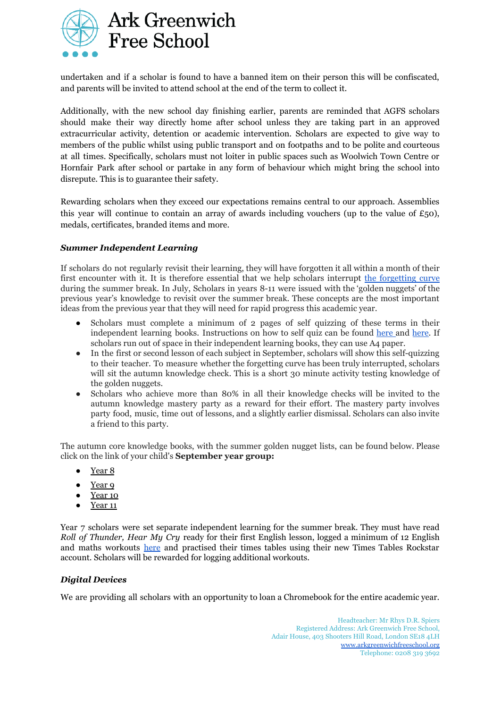

undertaken and if a scholar is found to have a banned item on their person this will be confiscated, and parents will be invited to attend school at the end of the term to collect it.

Additionally, with the new school day finishing earlier, parents are reminded that AGFS scholars should make their way directly home after school unless they are taking part in an approved extracurricular activity, detention or academic intervention. Scholars are expected to give way to members of the public whilst using public transport and on footpaths and to be polite and courteous at all times. Specifically, scholars must not loiter in public spaces such as Woolwich Town Centre or Hornfair Park after school or partake in any form of behaviour which might bring the school into disrepute. This is to guarantee their safety.

Rewarding scholars when they exceed our expectations remains central to our approach. Assemblies this year will continue to contain an array of awards including vouchers (up to the value of  $\pounds$ 50), medals, certificates, branded items and more.

#### *Summer Independent Learning*

If scholars do not regularly revisit their learning, they will have forgotten it all within a month of their first encounter with it. It is therefore essential that we help scholars interrupt the [forgetting](https://www.youtube.com/watch?v=SCsQHe-NpaM) curve during the summer break. In July, Scholars in years 8-11 were issued with the 'golden nuggets' of the previous year's knowledge to revisit over the summer break. These concepts are the most important ideas from the previous year that they will need for rapid progress this academic year.

- Scholars must complete a minimum of 2 pages of self quizzing of these terms in their independent learning books. Instructions on how to self quiz can be found [here](https://www.youtube.com/watch?v=WSaRUa-tPxs) and [here](https://www.youtube.com/watch?v=LLZvCymL4rU). If scholars run out of space in their independent learning books, they can use A4 paper.
- In the first or second lesson of each subject in September, scholars will show this self-quizzing to their teacher. To measure whether the forgetting curve has been truly interrupted, scholars will sit the autumn knowledge check. This is a short 30 minute activity testing knowledge of the golden nuggets.
- Scholars who achieve more than 80% in all their knowledge checks will be invited to the autumn knowledge mastery party as a reward for their effort. The mastery party involves party food, music, time out of lessons, and a slightly earlier dismissal. Scholars can also invite a friend to this party.

The autumn core knowledge books, with the summer golden nugget lists, can be found below. Please click on the link of your child's **September year group:**

- [Year](https://docs.google.com/document/d/1HNuiAXTxVhIo4BJ8xOtTKQfBDwDQP-YK1vFood9z8FA/edit?usp=sharing) 8
- [Year](https://docs.google.com/document/d/1IOOsz_GoMxx_nuulUVhYJZ3-gyGqDAOqd-UV3hl3gi0/edit?usp=sharing) 9
- [Year](https://docs.google.com/document/d/1pk21YmwrzHqV9ZvC8qn-WjuPLimgkvJqSrU2LlZtY9w/edit?usp=sharing) 10
- $\bullet$  [Year](https://docs.google.com/document/d/1Nw8mfqbA7Vrs8J_uHuhZqW11m4gyTLRtAc7L3CU3Lq8/edit?usp=sharing) 11

Year 7 scholars were set separate independent learning for the summer break. They must have read *Roll of Thunder, Hear My Cry* ready for their first English lesson, logged a minimum of 12 English and maths workouts [here](https://forms.gle/XLWvLmcdjwM4FuKU9) and practised their times tables using their new Times Tables Rockstar account. Scholars will be rewarded for logging additional workouts.

#### *Digital Devices*

We are providing all scholars with an opportunity to loan a Chromebook for the entire academic year.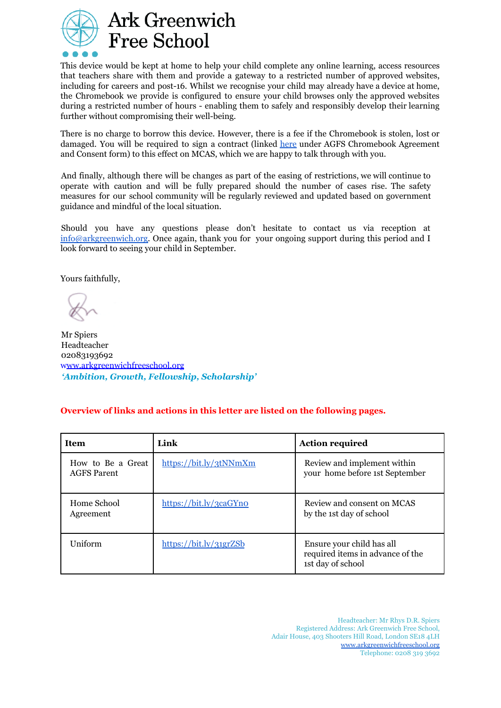

# **Ark Greenwich Free School**

This device would be kept at home to help your child complete any online learning, access resources that teachers share with them and provide a gateway to a restricted number of approved websites, including for careers and post-16. Whilst we recognise your child may already have a device at home, the Chromebook we provide is configured to ensure your child browses only the approved websites during a restricted number of hours - enabling them to safely and responsibly develop their learning further without compromising their well-being.

There is no charge to borrow this device. However, there is a fee if the Chromebook is stolen, lost or damaged. You will be required to sign a contract (linked [here](https://arkgreenwichfreeschool.org/page-strips/our-policies-19) under AGFS Chromebook Agreement and Consent form) to this effect on MCAS, which we are happy to talk through with you.

And finally, although there will be changes as part of the easing of restrictions, we will continue to operate with caution and will be fully prepared should the number of cases rise. The safety measures for our school community will be regularly reviewed and updated based on government guidance and mindful of the local situation.

Should you have any questions please don't hesitate to contact us via reception at [info@arkgreenwich.org.](mailto:info@arkgreenwich.org) Once again, thank you for your ongoing support during this period and I look forward to seeing your child in September.

Yours faithfully,

Mr Spiers Headteacher 02083193692 www.arkgreenwichfreeschool.org *'Ambition, Growth, Fellowship, Scholarship'*

## **Overview of links and actions in this letter are listed on the following pages.**

| <b>Item</b>                             | Link                   | <b>Action required</b>                                                             |
|-----------------------------------------|------------------------|------------------------------------------------------------------------------------|
| How to Be a Great<br><b>AGFS</b> Parent | https://bit.ly/3tNNmXm | Review and implement within<br>your home before 1st September                      |
| Home School<br>Agreement                | https://bit.ly/3caGYno | Review and consent on MCAS<br>by the 1st day of school                             |
| Uniform                                 | https://bit.ly/31grZSb | Ensure your child has all<br>required items in advance of the<br>1st day of school |